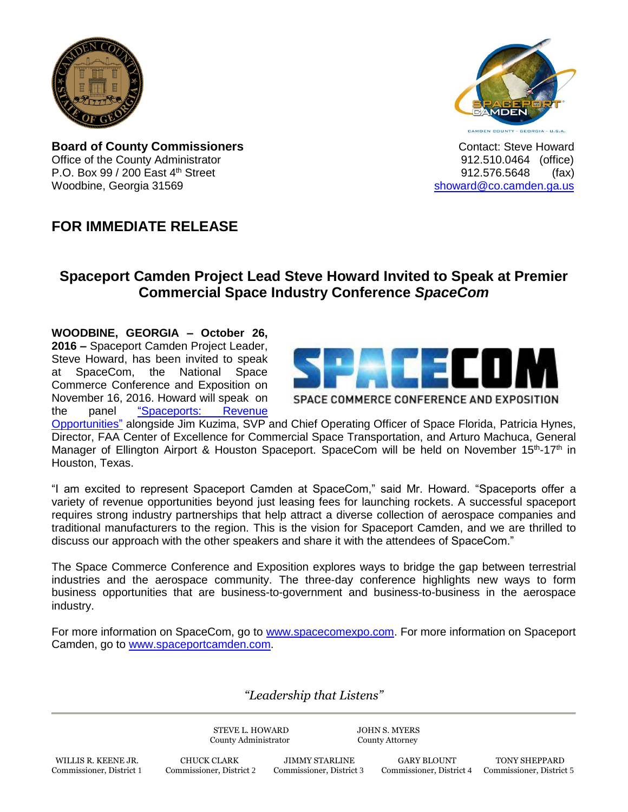

**Board of County Commissioners CONTER 1999** Contact: Steve Howard Office of the County Administrator **Connect County Administrator 12.510.0464** (office) P.O. Box 99 / 200 East 4<sup>th</sup> Street 912.576.5648 (fax) Woodbine, Georgia 31569 [showard@co.camden.ga.us](mailto:showard@co.camden.ga.us)

## **FOR IMMEDIATE RELEASE**

## **Spaceport Camden Project Lead Steve Howard Invited to Speak at Premier Commercial Space Industry Conference** *SpaceCom*

**WOODBINE, GEORGIA – October 26, 2016 –** Spaceport Camden Project Leader, Steve Howard, has been invited to speak at SpaceCom, the National Space Commerce Conference and Exposition on November 16, 2016. Howard will speak on the panel ["Spaceports: Revenue](http://expo.spacecomexpo.com/SPC16/Public/SessionDetails.aspx?FromPage=Sessions.aspx&SessionID=1178&SessionDateID=38) 



SPACE COMMERCE CONFERENCE AND EXPOSITION

[Opportunities"](http://expo.spacecomexpo.com/SPC16/Public/SessionDetails.aspx?FromPage=Sessions.aspx&SessionID=1178&SessionDateID=38) alongside Jim Kuzima, SVP and Chief Operating Officer of Space Florida, [Patricia Hynes,](http://expo.spacecomexpo.com/SPC16/Public/Sessions.aspx?ID=10962&View=Sessions) Director, FAA Center of Excellence for Commercial Space Transportation, and [Arturo Machuca,](http://expo.spacecomexpo.com/SPC16/Public/Sessions.aspx?ID=10962&View=Sessions) General Manager of Ellington Airport & Houston Spaceport. SpaceCom will be held on November 15<sup>th</sup>-17<sup>th</sup> in Houston, Texas.

"I am excited to represent Spaceport Camden at SpaceCom," said Mr. Howard. "Spaceports offer a variety of revenue opportunities beyond just leasing fees for launching rockets. A successful spaceport requires strong industry partnerships that help attract a diverse collection of aerospace companies and traditional manufacturers to the region. This is the vision for Spaceport Camden, and we are thrilled to discuss our approach with the other speakers and share it with the attendees of SpaceCom."

The Space Commerce Conference and Exposition explores ways to bridge the gap between terrestrial industries and the aerospace community. The three-day conference highlights new ways to form business opportunities that are business-to-government and business-to-business in the aerospace industry.

For more information on SpaceCom, go to [www.spacecomexpo.com.](http://www.spacecomexpo.com/) For more information on Spaceport Camden, go to [www.spaceportcamden.com.](http://www.spaceportcamden.com/)

## *"Leadership that Listens"*

STEVE L. HOWARD JOHN S. MYERS County Administrator County Attorney

 WILLIS R. KEENE JR. CHUCK CLARK JIMMY STARLINE GARY BLOUNT TONY SHEPPARD Commissioner, District 1 Commissioner, District 2 Commissioner, District 3 Commissioner, District 4 Commissioner, District 5